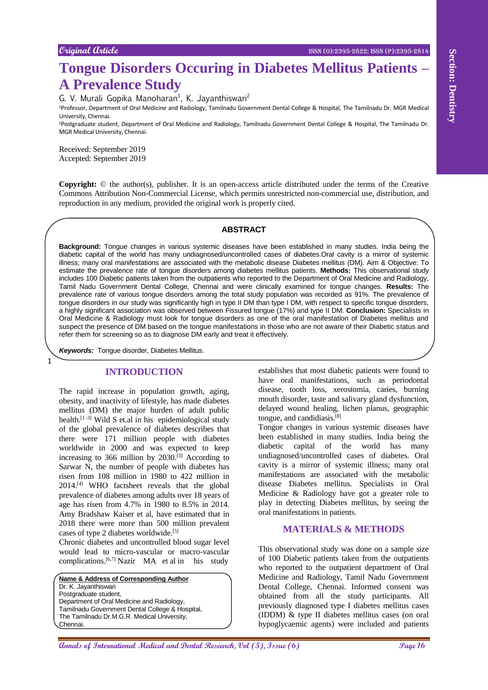# **Tongue Disorders Occuring in Diabetes Mellitus Patients – A Prevalence Study**

G. V. Murali Gopika Manoharan<sup>1</sup>, K. Jayanthiswari<sup>2</sup>

<sup>1</sup>Professor, Department of Oral Medicine and Radiology, Tamilnadu Government Dental College & Hospital, The Tamilnadu Dr. MGR Medical University, Chennai.

<sup>2</sup>Postgraduate student, Department of Oral Medicine and Radiology, Tamilnadu Government Dental College & Hospital, The Tamilnadu Dr. MGR Medical University, Chennai.

Received: September 2019 Accepted: September 2019

**Copyright:** © the author(s), publisher. It is an open-access article distributed under the terms of the Creative Commons Attribution Non-Commercial License, which permits unrestricted non-commercial use, distribution, and reproduction in any medium, provided the original work is properly cited.

#### **ABSTRACT**

**Annals of International Medical and Dental Control in the Control international Medical Annal Medical Annal Medical and Annal Medical and Dental Annal Medical and Dental Annal Medical and Dental Annal Medical and Dental A Background:** Tongue changes in various systemic diseases have been established in many studies. India being the diabetic capital of the world has many undiagnosed/uncontrolled cases of diabetes.Oral cavity is a mirror of systemic illness; many oral manifestations are associated with the metabolic disease Diabetes mellitus (DM). Aim & Objective: To estimate the prevalence rate of tongue disorders among diabetes mellitus patients. **Methods:** This observational study includes 100 Diabetic patients taken from the outpatients who reported to the Department of Oral Medicine and Radiology, Tamil Nadu Government Dental College, Chennai and were clinically examined for tongue changes. **Results:** The prevalence rate of various tongue disorders among the total study population was recorded as 91%. The prevalence of tongue disorders in our study was significantly high in type II DM than type I DM, with respect to specific tongue disorders, a highly significant association was observed between Fissured tongue (17%) and type II DM. **Conclusion:** Specialists in Oral Medicine & Radiology must look for tongue disorders as one of the oral manifestation of Diabetes mellitus and suspect the presence of DM based on the tongue manifestations in those who are not aware of their Diabetic status and refer them for screening so as to diagnose DM early and treat it effectively.

*Keywords:* Tongue disorder, Diabetes Mellitus.

1

# **INTRODUCTION**

The rapid increase in population growth, aging, obesity, and inactivity of lifestyle, has made diabetes mellitus (DM) the major burden of adult public health.<sup>[1-3]</sup> Wild S et.al in his epidemiological study of the global prevalence of diabetes describes that there were 171 million people with diabetes worldwide in 2000 and was expected to keep increasing to 366 million by  $2030$ <sup>[3]</sup> According to Sarwar N, the number of people with diabetes has risen from 108 million in 1980 to 422 million in 2014.[4] WHO factsheet reveals that the global prevalence of diabetes among adults over 18 years of age has risen from 4.7% in 1980 to 8.5% in 2014. Amy Bradshaw Kaiser et al, have estimated that in 2018 there were more than 500 million prevalent cases of type 2 diabetes worldwide.[5]

Chronic diabetes and uncontrolled blood sugar level would lead to micro-vascular or macro-vascular complications.<sup>[6,7]</sup> Nazir MA et al in his study

**Name & Address of Corresponding Author** Dr. K. Jayanthiswari Postgraduate student, Department of Oral Medicine and Radiology, Tamilnadu Government Dental College & Hospital, The Tamilnadu Dr.M.G.R. Medical University, Chennai.

establishes that most diabetic patients were found to have oral manifestations, such as periodontal disease, tooth loss, xerostomia, caries, burning mouth disorder, taste and salivary gland dysfunction, delayed wound healing, lichen planus, geographic tongue, and candidiasis.[8]

Tongue changes in various systemic diseases have been established in many studies. India being the diabetic capital of the world has many undiagnosed/uncontrolled cases of diabetes. Oral cavity is a mirror of systemic illness; many oral manifestations are associated with the metabolic disease Diabetes mellitus. Specialists in Oral Medicine & Radiology have got a greater role to play in detecting Diabetes mellitus, by seeing the oral manifestations in patients.

# **MATERIALS & METHODS**

This observational study was done on a sample size of 100 Diabetic patients taken from the outpatients who reported to the outpatient department of Oral Medicine and Radiology, Tamil Nadu Government Dental College, Chennai. Informed consent was obtained from all the study participants. All previously diagnosed type I diabetes mellitus cases (IDDM) & type II diabetes mellitus cases (on oral hypoglycaemic agents) were included and patients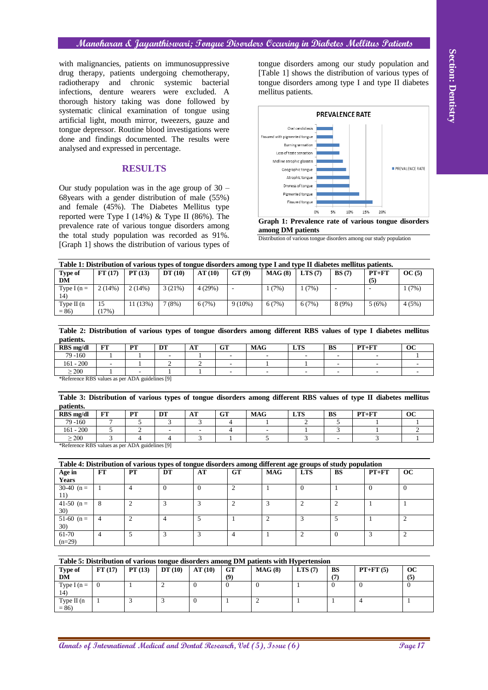### **Manoharan & Jayanthiswari; Tongue Disorders Occuring in Diabetes Mellitus Patients**

# **RESULTS**



**Graph 1: Prevalence rate of various tongue disorders among DM patients**

| Table 1: Distribution of various types of tongue disorders among type I and type II diabetes mellitus patients. |               |         |         |        |           |        |        |          |                  |       |  |  |
|-----------------------------------------------------------------------------------------------------------------|---------------|---------|---------|--------|-----------|--------|--------|----------|------------------|-------|--|--|
| Type of<br>DМ                                                                                                   | FT(17)        | PT(13)  | DT(10)  | AT(10) | GT(9)     | MAG(8) | LTS(7) | BS(7)    | $PT + FT$<br>(5) | OC(5) |  |  |
| Type I ( $n =$<br>14)                                                                                           | 2(14%)        | 2(14%)  | 3(21%)  | 4(29%) |           | (7%)   | 1(7%)  |          |                  | 1(7%) |  |  |
| Type $II(n)$<br>$= 86$                                                                                          | 15<br>$17\%)$ | 11(13%) | $(8\%)$ | 6(7%)  | $9(10\%)$ | 6(7%)  | 6(7%)  | $8(9\%)$ | 5(6%)            | 4(5%) |  |  |

**Table 2: Distribution of various types of tongue disorders among different RBS values of type I diabetes mellitus patients.**

| RBS mg/dl                                            | <b>LAL</b><br>r t | DT<br>. . | DT                       | <b>CON</b><br>$\mathbf{A}$ | $\alpha$<br>uг | <b>MAG</b> | <b>LTS</b> | <b>BS</b> | $PT+FT$ | oc |
|------------------------------------------------------|-------------------|-----------|--------------------------|----------------------------|----------------|------------|------------|-----------|---------|----|
| 79 -160                                              |                   |           | $\overline{\phantom{a}}$ |                            |                |            |            |           |         |    |
| $161 - 200$                                          |                   |           |                          |                            |                |            |            |           |         |    |
| $\geq$ 200                                           |                   |           |                          |                            |                |            |            |           |         |    |
| $*D.$ formal DDC actions is now ADA and defined [01] |                   |           |                          |                            |                |            |            |           |         |    |

| patients. | Table 3: Distribution of various types of tongue disorders among different RBS values of type II diabetes mellitus |  |  |  |
|-----------|--------------------------------------------------------------------------------------------------------------------|--|--|--|
|           |                                                                                                                    |  |  |  |

| RBS mg/dl                                          | <b>LAL</b> | DO <sub>U</sub><br>. . | <b>DT</b><br>ע ע | . m<br>л. | $\alpha$ T<br>uι | <b>MAG</b> | <b>LTS</b> | <b>BS</b> | $PT + FT$ | ОC |
|----------------------------------------------------|------------|------------------------|------------------|-----------|------------------|------------|------------|-----------|-----------|----|
| 79 - 160                                           |            |                        |                  |           |                  |            |            |           |           |    |
| $161 - 200$                                        |            |                        |                  |           |                  |            |            |           |           |    |
| $\geq 200$                                         |            |                        |                  |           |                  |            |            |           |           |    |
| $*Defermes DDP$ values as non-ADA evidatings $[0]$ |            |                        |                  |           |                  |            |            |           |           |    |

| with malignancies, patients on immunosuppressive                                                                                                                                                                                                                                                                                                                                                                                                                                                                                                                                                                                                     |                |                |                |                          |                          |                          |                                |                                                                     |                          |                                 |            |                                                      |
|------------------------------------------------------------------------------------------------------------------------------------------------------------------------------------------------------------------------------------------------------------------------------------------------------------------------------------------------------------------------------------------------------------------------------------------------------------------------------------------------------------------------------------------------------------------------------------------------------------------------------------------------------|----------------|----------------|----------------|--------------------------|--------------------------|--------------------------|--------------------------------|---------------------------------------------------------------------|--------------------------|---------------------------------|------------|------------------------------------------------------|
| drug therapy, patients undergoing chemotherapy,                                                                                                                                                                                                                                                                                                                                                                                                                                                                                                                                                                                                      |                |                |                |                          |                          |                          |                                |                                                                     |                          |                                 |            | [Table 1] shows the distribution of various types of |
| radiotherapy                                                                                                                                                                                                                                                                                                                                                                                                                                                                                                                                                                                                                                         | and            | chronic        | systemic       | bacterial                |                          |                          |                                |                                                                     |                          |                                 |            | tongue disorders among type I and type II diabetes   |
| infections, denture wearers were excluded. A                                                                                                                                                                                                                                                                                                                                                                                                                                                                                                                                                                                                         |                |                |                |                          |                          |                          | mellitus patients.             |                                                                     |                          |                                 |            |                                                      |
| thorough history taking was done followed by                                                                                                                                                                                                                                                                                                                                                                                                                                                                                                                                                                                                         |                |                |                |                          |                          |                          |                                |                                                                     |                          |                                 |            |                                                      |
| systematic clinical examination of tongue using                                                                                                                                                                                                                                                                                                                                                                                                                                                                                                                                                                                                      |                |                |                |                          |                          |                          |                                |                                                                     | <b>PREVALENCE RATE</b>   |                                 |            |                                                      |
| artificial light, mouth mirror, tweezers, gauze and                                                                                                                                                                                                                                                                                                                                                                                                                                                                                                                                                                                                  |                |                |                |                          |                          |                          |                                |                                                                     |                          |                                 |            |                                                      |
| tongue depressor. Routine blood investigations were                                                                                                                                                                                                                                                                                                                                                                                                                                                                                                                                                                                                  |                |                |                |                          |                          |                          |                                | Oral candidiasis                                                    |                          |                                 |            |                                                      |
| done and findings documented. The results were                                                                                                                                                                                                                                                                                                                                                                                                                                                                                                                                                                                                       |                |                |                |                          |                          |                          | Fissured with pigmented tongue |                                                                     |                          |                                 |            |                                                      |
| analysed and expressed in percentage.                                                                                                                                                                                                                                                                                                                                                                                                                                                                                                                                                                                                                |                |                |                |                          |                          |                          | Loss of taste sensation        | Burning sensation                                                   |                          |                                 |            |                                                      |
|                                                                                                                                                                                                                                                                                                                                                                                                                                                                                                                                                                                                                                                      |                |                |                |                          |                          |                          | Midline atrophic glossitis     |                                                                     |                          |                                 |            |                                                      |
|                                                                                                                                                                                                                                                                                                                                                                                                                                                                                                                                                                                                                                                      |                | <b>RESULTS</b> |                |                          |                          |                          |                                | Geographic tongue                                                   |                          |                                 |            | PREVALENCE RATE                                      |
|                                                                                                                                                                                                                                                                                                                                                                                                                                                                                                                                                                                                                                                      |                |                |                |                          |                          |                          |                                | Atrophic tongue                                                     |                          |                                 |            |                                                      |
| Our study population was in the age group of $30 -$                                                                                                                                                                                                                                                                                                                                                                                                                                                                                                                                                                                                  |                |                |                |                          |                          |                          |                                | Dryness of tongue                                                   |                          |                                 |            |                                                      |
| 68years with a gender distribution of male (55%)                                                                                                                                                                                                                                                                                                                                                                                                                                                                                                                                                                                                     |                |                |                |                          |                          |                          |                                | Pigmented tongue                                                    |                          |                                 |            |                                                      |
| and female (45%). The Diabetes Mellitus type                                                                                                                                                                                                                                                                                                                                                                                                                                                                                                                                                                                                         |                |                |                |                          |                          |                          |                                | Fissured tongue                                                     |                          |                                 |            |                                                      |
| reported were Type I (14%) & Type II (86%). The                                                                                                                                                                                                                                                                                                                                                                                                                                                                                                                                                                                                      |                |                |                |                          |                          |                          |                                | 0%                                                                  | 5%<br>10%                | 15%                             | 20%        |                                                      |
| prevalence rate of various tongue disorders among                                                                                                                                                                                                                                                                                                                                                                                                                                                                                                                                                                                                    |                |                |                |                          |                          |                          |                                |                                                                     |                          |                                 |            | Graph 1: Prevalence rate of various tongue disorders |
| the total study population was recorded as 91%.                                                                                                                                                                                                                                                                                                                                                                                                                                                                                                                                                                                                      |                |                |                |                          |                          |                          | among DM patients              | Distribution of various tongue disorders among our study population |                          |                                 |            |                                                      |
| [Graph 1] shows the distribution of various types of                                                                                                                                                                                                                                                                                                                                                                                                                                                                                                                                                                                                 |                |                |                |                          |                          |                          |                                |                                                                     |                          |                                 |            |                                                      |
| Table 1: Distribution of various types of tongue disorders among type I and type II diabetes mellitus patients.                                                                                                                                                                                                                                                                                                                                                                                                                                                                                                                                      |                |                |                |                          |                          |                          |                                |                                                                     |                          |                                 |            |                                                      |
| Type of                                                                                                                                                                                                                                                                                                                                                                                                                                                                                                                                                                                                                                              | FT(17)         | PT(13)         | DT(10)         | AT(10)                   | GT(9)                    |                          | MAG(8)                         | LTS(7)                                                              | BS(7)                    |                                 | $PT+FT$    | OC(5)                                                |
| $\mathbf{DM}$<br>Type I $(n =$                                                                                                                                                                                                                                                                                                                                                                                                                                                                                                                                                                                                                       | 2(14%)         | 2(14%)         | 3(21%)         | 4(29%)                   | $\Box$                   |                          | 1(7%)                          | 1(7%)                                                               | $\Box$                   | (5)<br>$\overline{\phantom{a}}$ |            | 1(7%)                                                |
| 14)<br>Type II (n                                                                                                                                                                                                                                                                                                                                                                                                                                                                                                                                                                                                                                    | 15             | 11(13%)        | 7(8%)          | 6(7%)                    |                          | $9(10\%)$                | 6(7%)                          | 6(7%)                                                               | 8(9%)                    |                                 | 5(6%)      | 4(5%)                                                |
| $= 86$                                                                                                                                                                                                                                                                                                                                                                                                                                                                                                                                                                                                                                               | (17%)          |                |                |                          |                          |                          |                                |                                                                     |                          |                                 |            |                                                      |
|                                                                                                                                                                                                                                                                                                                                                                                                                                                                                                                                                                                                                                                      |                |                |                |                          |                          |                          |                                |                                                                     |                          |                                 |            |                                                      |
|                                                                                                                                                                                                                                                                                                                                                                                                                                                                                                                                                                                                                                                      |                |                |                |                          |                          |                          |                                |                                                                     |                          |                                 |            |                                                      |
|                                                                                                                                                                                                                                                                                                                                                                                                                                                                                                                                                                                                                                                      | FT             | PT             | DT             | AT                       | <b>GT</b>                | <b>MAG</b>               |                                | <b>LTS</b>                                                          | <b>BS</b>                | $PT+FT$                         |            | oc                                                   |
| 79 - 160                                                                                                                                                                                                                                                                                                                                                                                                                                                                                                                                                                                                                                             |                |                |                | 1                        | $\overline{a}$           |                          |                                |                                                                     | $\overline{\phantom{a}}$ |                                 |            |                                                      |
|                                                                                                                                                                                                                                                                                                                                                                                                                                                                                                                                                                                                                                                      |                | 1              | $\mathfrak{2}$ | $\overline{c}$           |                          | 1                        |                                | 1                                                                   |                          |                                 |            |                                                      |
| Table 2: Distribution of various types of tongue disorders among different RBS values of type I diabetes mellitus<br>patients.<br>RBS mg/dl<br>$161 - 200$<br>$\geq$ 200                                                                                                                                                                                                                                                                                                                                                                                                                                                                             | 1              |                | 1              | $\mathbf{1}$             | $\overline{\phantom{0}}$ | $\overline{a}$           |                                | $\overline{\phantom{a}}$                                            |                          |                                 | ÷,         | ÷,                                                   |
|                                                                                                                                                                                                                                                                                                                                                                                                                                                                                                                                                                                                                                                      |                |                |                |                          |                          |                          |                                |                                                                     |                          |                                 |            |                                                      |
|                                                                                                                                                                                                                                                                                                                                                                                                                                                                                                                                                                                                                                                      |                |                |                |                          |                          |                          |                                |                                                                     |                          |                                 |            |                                                      |
|                                                                                                                                                                                                                                                                                                                                                                                                                                                                                                                                                                                                                                                      |                |                |                |                          |                          |                          |                                |                                                                     |                          |                                 |            |                                                      |
|                                                                                                                                                                                                                                                                                                                                                                                                                                                                                                                                                                                                                                                      | FT             | PT             | DT             | AT                       | <b>GT</b>                | <b>MAG</b>               |                                | <b>LTS</b>                                                          | BS                       | $PT+FT$                         |            | <b>OC</b>                                            |
| 79 -160                                                                                                                                                                                                                                                                                                                                                                                                                                                                                                                                                                                                                                              | 7              | 5              | 3              | 3                        | 4                        | 1                        |                                | 2                                                                   | 5                        |                                 | 1          | 1                                                    |
|                                                                                                                                                                                                                                                                                                                                                                                                                                                                                                                                                                                                                                                      | 5              | $\overline{c}$ |                | $\overline{\phantom{a}}$ | $\overline{4}$           | $\overline{\phantom{a}}$ |                                | 1                                                                   | 3                        |                                 |            | 2                                                    |
| $\geq$ 200                                                                                                                                                                                                                                                                                                                                                                                                                                                                                                                                                                                                                                           | 3              | 4              | $\overline{4}$ | 3                        | 1                        |                          | 5                              | 3                                                                   |                          |                                 | 3          | 1                                                    |
|                                                                                                                                                                                                                                                                                                                                                                                                                                                                                                                                                                                                                                                      |                |                |                |                          |                          |                          |                                |                                                                     |                          |                                 |            |                                                      |
|                                                                                                                                                                                                                                                                                                                                                                                                                                                                                                                                                                                                                                                      |                |                |                |                          |                          |                          |                                |                                                                     |                          |                                 |            |                                                      |
|                                                                                                                                                                                                                                                                                                                                                                                                                                                                                                                                                                                                                                                      | FT             | PT             | DT             | AT                       | <b>GT</b>                |                          | <b>MAG</b>                     | <b>LTS</b>                                                          | <b>BS</b>                |                                 | $PT+FT$    | <b>OC</b>                                            |
|                                                                                                                                                                                                                                                                                                                                                                                                                                                                                                                                                                                                                                                      |                |                |                |                          |                          |                          |                                |                                                                     |                          |                                 |            |                                                      |
|                                                                                                                                                                                                                                                                                                                                                                                                                                                                                                                                                                                                                                                      | 1              | $\overline{4}$ | $\overline{0}$ | $\overline{0}$           | 2                        |                          | 1                              | $\overline{0}$                                                      | $\mathbf{1}$             | $\overline{0}$                  |            | $\theta$                                             |
|                                                                                                                                                                                                                                                                                                                                                                                                                                                                                                                                                                                                                                                      |                |                |                |                          |                          |                          |                                |                                                                     |                          |                                 |            |                                                      |
|                                                                                                                                                                                                                                                                                                                                                                                                                                                                                                                                                                                                                                                      | 8              | 2              | 3              | 3                        | $\overline{2}$           |                          | 3                              | $\overline{c}$                                                      | $\mathfrak{2}$           | $\mathbf{1}$                    |            | $\mathbf{1}$                                         |
|                                                                                                                                                                                                                                                                                                                                                                                                                                                                                                                                                                                                                                                      | $\overline{4}$ | $\overline{2}$ | $\overline{4}$ | 5                        | $\mathbf{1}$             |                          | $\overline{2}$                 | 3                                                                   | $\sqrt{5}$               | $\mathbf{1}$                    |            | $\overline{2}$                                       |
|                                                                                                                                                                                                                                                                                                                                                                                                                                                                                                                                                                                                                                                      |                |                |                |                          |                          |                          |                                |                                                                     |                          |                                 |            |                                                      |
|                                                                                                                                                                                                                                                                                                                                                                                                                                                                                                                                                                                                                                                      | $\overline{4}$ | 5              | 3              | $\overline{3}$           | $\overline{4}$           |                          | $\mathbf{1}$                   | $\mathbf{2}$                                                        | $\overline{0}$           | $\mathfrak{Z}$                  |            | $\overline{2}$                                       |
|                                                                                                                                                                                                                                                                                                                                                                                                                                                                                                                                                                                                                                                      |                |                |                |                          |                          |                          |                                |                                                                     |                          |                                 |            |                                                      |
|                                                                                                                                                                                                                                                                                                                                                                                                                                                                                                                                                                                                                                                      |                |                |                |                          |                          |                          |                                |                                                                     |                          |                                 |            |                                                      |
|                                                                                                                                                                                                                                                                                                                                                                                                                                                                                                                                                                                                                                                      | FT(17)         | PT(13)         | DT(10)         | AT(10)                   | GT                       |                          |                                |                                                                     | <b>BS</b>                |                                 |            | oc                                                   |
|                                                                                                                                                                                                                                                                                                                                                                                                                                                                                                                                                                                                                                                      |                |                |                |                          | (9)                      |                          | MAG(8)                         | LTS(7)                                                              | (7)                      |                                 | $PT+FT(5)$ | (5)                                                  |
|                                                                                                                                                                                                                                                                                                                                                                                                                                                                                                                                                                                                                                                      | $\overline{0}$ | $\mathbf{1}$   | $\overline{2}$ | $\overline{0}$           | $\overline{0}$           | $\Omega$                 |                                | $\mathbf{1}$                                                        | $\Omega$                 | $\Omega$                        |            | $\Omega$                                             |
| *Reference RBS values as per ADA guidelines [9]<br>Table 3: Distribution of various types of tongue disorders among different RBS values of type II diabetes mellitus<br>patients.<br>RBS mg/dl<br>$161 - 200$<br>*Reference RBS values as per ADA guidelines [9]<br>Table 4: Distribution of various types of tongue disorders among different age groups of study population<br>Age in<br>Years<br>30-40 $(n =$<br>11)<br>41-50 $(n =$<br><b>30</b> )<br>$51-60$ (n =<br>30)<br>61-70<br>$(n=29)$<br>Table 5: Distribution of various tongue disorders among DM patients with Hypertension<br><b>Type of</b><br><b>DM</b><br>Type I ( $n =$<br>14) |                |                |                |                          |                          |                          |                                |                                                                     |                          |                                 |            |                                                      |
| Type $\Pi$ (n<br>$= 86$                                                                                                                                                                                                                                                                                                                                                                                                                                                                                                                                                                                                                              | $\mathbf{1}$   | 3              | 3              | $\overline{0}$           | $\mathbf{1}$             | $\overline{c}$           |                                | $\mathbf{1}$                                                        | $\mathbf{1}$             | $\overline{4}$                  |            | $\mathbf{1}$                                         |
|                                                                                                                                                                                                                                                                                                                                                                                                                                                                                                                                                                                                                                                      |                |                |                |                          |                          |                          |                                |                                                                     |                          |                                 |            |                                                      |

| Table 5: Distribution of various tongue disorders among DM patients with Hypertension |        |        |        |        |     |        |        |    |            |             |  |  |
|---------------------------------------------------------------------------------------|--------|--------|--------|--------|-----|--------|--------|----|------------|-------------|--|--|
| Type of                                                                               | FT(17) | PT(13) | DT(10) | AT(10) | GT  | MAG(8) | LTS(7) | BS | $PT+FT(5)$ | $_{\rm oc}$ |  |  |
| DM                                                                                    |        |        |        |        | (9) |        |        |    |            | (5)         |  |  |
| Type I $(n =$<br>14)                                                                  | O      |        |        |        |     |        |        |    |            |             |  |  |
| Type II (n<br>$= 86$                                                                  |        |        |        |        |     |        |        |    |            |             |  |  |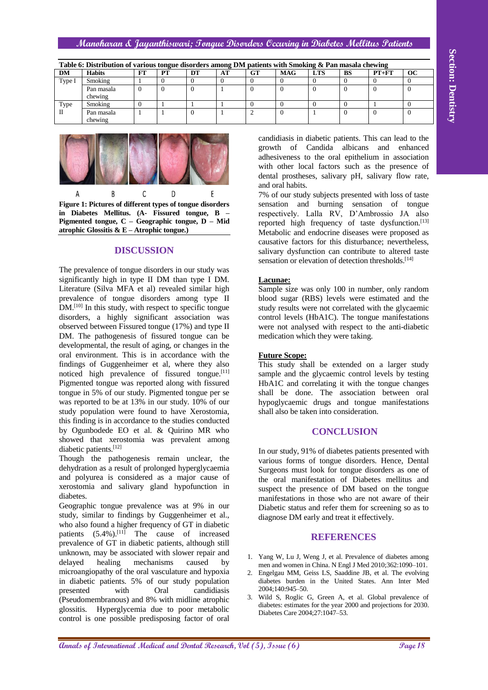#### **Manoharan & Jayanthiswari; Tongue Disorders Occuring in Diabetes Mellitus Patients**

|        | Table 6: Distribution of various tongue disorders among DM patients with Smoking & Pan masala chewing |  |    |    |    |    |            |            |    |           |    |  |  |
|--------|-------------------------------------------------------------------------------------------------------|--|----|----|----|----|------------|------------|----|-----------|----|--|--|
| DM     | <b>Habits</b>                                                                                         |  | PТ | DT | AT | GT | <b>MAG</b> | <b>LTS</b> | BS | $PT + FT$ | oc |  |  |
| Type I | Smoking                                                                                               |  |    |    |    |    |            |            |    |           |    |  |  |
|        | Pan masala<br>chewing                                                                                 |  |    |    |    |    |            |            |    |           |    |  |  |
| Type   | Smoking                                                                                               |  |    |    |    |    |            |            |    |           |    |  |  |
|        | Pan masala<br>chewing                                                                                 |  |    |    |    |    |            |            |    |           |    |  |  |



**Figure 1: Pictures of different types of tongue disorders in Diabetes Mellitus. (A- Fissured tongue, B – Pigmented tongue, C – Geographic tongue, D – Mid atrophic Glossitis & E – Atrophic tongue.)**

# **DISCUSSION**

**Annals of Annals of Annals of Annals of Dental Annals of Dental Annals of Dental Annals of Dental Annals in the Control of Annals of Annals of Annals in the Control of Annals in the Control of Annals in the Control of An** The prevalence of tongue disorders in our study was significantly high in type II DM than type I DM. Literature (Silva MFA et al) revealed similar high prevalence of tongue disorders among type II DM.<sup>[10]</sup> In this study, with respect to specific tongue disorders, a highly significant association was observed between Fissured tongue (17%) and type II DM. The pathogenesis of fissured tongue can be developmental, the result of aging, or changes in the oral environment. This is in accordance with the findings of Guggenheimer et al, where they also noticed high prevalence of fissured tongue.<sup>[11]</sup> Pigmented tongue was reported along with fissured tongue in 5% of our study. Pigmented tongue per se was reported to be at 13% in our study. 10% of our study population were found to have Xerostomia, this finding is in accordance to the studies conducted by Ogunbodede EO et al. & Quirino MR who showed that xerostomia was prevalent among diabetic patients.<sup>[12]</sup>

Though the pathogenesis remain unclear, the dehydration as a result of prolonged hyperglycaemia and polyurea is considered as a major cause of xerostomia and salivary gland hypofunction in diabetes.

Geographic tongue prevalence was at 9% in our study, similar to findings by Guggenheimer et al., who also found a higher frequency of GT in diabetic patients  $(5.4\%)$ .<sup>[11]</sup> The cause of increased prevalence of GT in diabetic patients, although still unknown, may be associated with slower repair and delayed healing mechanisms caused by microangiopathy of the oral vasculature and hypoxia in diabetic patients. 5% of our study population presented with Oral candidiasis (Pseudomembranous) and 8% with midline atrophic glossitis. Hyperglycemia due to poor metabolic control is one possible predisposing factor of oral

candidiasis in diabetic patients. This can lead to the growth of Candida albicans and enhanced adhesiveness to the oral epithelium in association with other local factors such as the presence of dental prostheses, salivary pH, salivary flow rate, and oral habits.

7% of our study subjects presented with loss of taste sensation and burning sensation of tongue respectively. Lalla RV, D'Ambrossio JA also reported high frequency of taste dysfunction.<sup>[13]</sup> Metabolic and endocrine diseases were proposed as causative factors for this disturbance; nevertheless, salivary dysfunction can contribute to altered taste sensation or elevation of detection thresholds.<sup>[14]</sup>

### **Lacunae:**

Sample size was only 100 in number, only random blood sugar (RBS) levels were estimated and the study results were not correlated with the glycaemic control levels (HbA1C). The tongue manifestations were not analysed with respect to the anti-diabetic medication which they were taking.

#### **Future Scope:**

This study shall be extended on a larger study sample and the glycaemic control levels by testing HbA1C and correlating it with the tongue changes shall be done. The association between oral hypoglycaemic drugs and tongue manifestations shall also be taken into consideration.

# **CONCLUSION**

In our study, 91% of diabetes patients presented with various forms of tongue disorders. Hence, Dental Surgeons must look for tongue disorders as one of the oral manifestation of Diabetes mellitus and suspect the presence of DM based on the tongue manifestations in those who are not aware of their Diabetic status and refer them for screening so as to diagnose DM early and treat it effectively.

## **REFERENCES**

- 1. Yang W, Lu J, Weng J, et al. Prevalence of diabetes among men and women in China. N Engl J Med 2010;362:1090–101.
- 2. Engelgau MM, Geiss LS, Saaddine JB, et al. The evolving diabetes burden in the United States. Ann Inter Med 2004;140:945–50.
- 3. Wild S, Roglic G, Green A, et al. Global prevalence of diabetes: estimates for the year 2000 and projections for 2030. Diabetes Care 2004;27:1047–53.